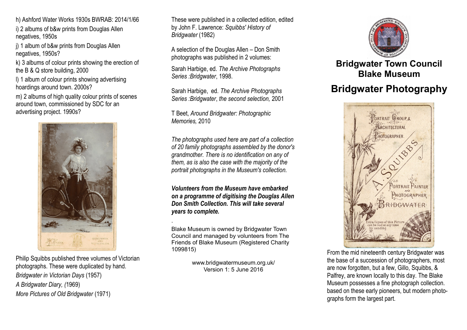h) Ashford Water Works 1930s BWRAB: 2014/1/66

i) 2 albums of b&w prints from Douglas Allen negatives, 1950s

j) 1 album of b&w prints from Douglas Allen negatives, 1950s?

k) 3 albums of colour prints showing the erection of the B & Q store building, 2000

l) 1 album of colour prints showing advertising hoardings around town. 2000s?

m) 2 albums of high quality colour prints of scenes around town, commissioned by SDC for an advertising project. 1990s?



Philip Squibbs published three volumes of Victorian photographs. These were duplicated by hand. *Bridgwater in Victorian Days* (1957) *A Bridgwater Diary, (*1969) *More Pictures of Old Bridgwater* (1971)

These were published in a collected edition, edited by John F. Lawrence: *Squibbs' History of Bridgwater* (1982)

A selection of the Douglas Allen – Don Smith photographs was published in 2 volumes:

Sarah Harbige, ed. *The Archive Photographs Series :Bridgwater*, 1998.

Sarah Harbige, ed. *The Archive Photographs Series :Bridgwater*, *the second selection,* 2001

T Beet, *Around Bridgwater: Photographic Memories,* 2010

*The photographs used here are part of a collection of 20 family photographs assembled by the donor's grandmother. There is no identification on any of them, as is also the case with the majority of the portrait photographs in the Museum's collection.*

*Volunteers from the Museum have embarked on a programme of digitising the Douglas Allen Don Smith Collection. This will take several years to complete.*

Blake Museum is owned by Bridgwater Town Council and managed by volunteers from The Friends of Blake Museum (Registered Charity 1099815)

.

www.bridgwatermuseum.org.uk/ Version 1: 5 June 2016



## **Bridgwater Town Council Blake Museum**

# **Bridgwater Photography**



From the mid nineteenth century Bridgwater was the base of a succession of photographers, most are now forgotten, but a few, Gillo, Squibbs, & Palfrey, are known locally to this day. The Blake Museum possesses a fine photograph collection. based on these early pioneers, but modern photographs form the largest part.